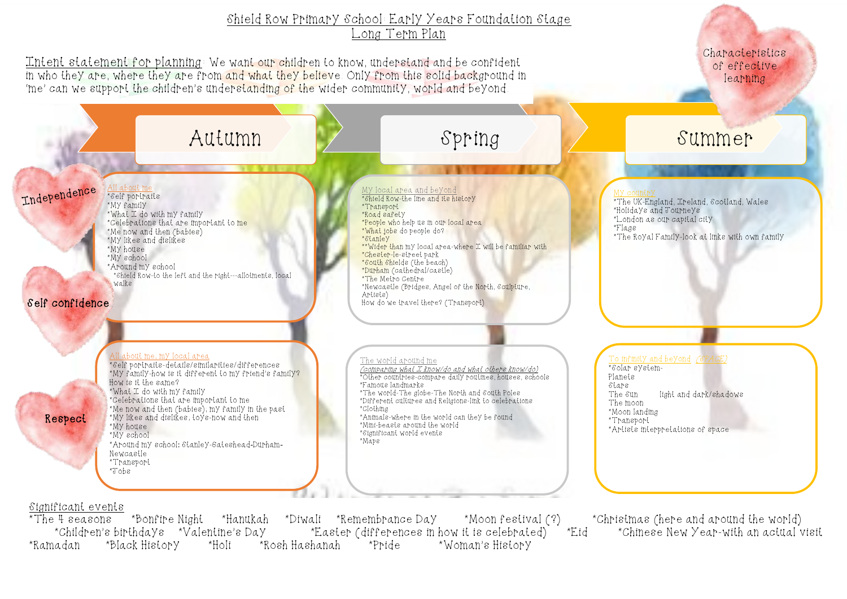## Shield Row Primary School: Early Years Foundation Stage Long Term Plan

Intent statement for planning: We want our children to know, understand and be confident in who they are, where they are from and what they believe. Only from this solid background in 'me' can we support the children's understanding of the wider community, world and beyond.

Characteristics of effective learning

light and dark/shadows \*Artists interpretations of space



\*Bonfire Night \*Hanukah \*Diwali \*Remembrance Day \*Moon festival (?) \*Christmas (here and around the world)<br>•thdays \*Valentine's Day \*Easter (differences in how it is celebrated) \*Children's birthdays \*Valentine's Day \*Easter (differences in how it is celebrated) \*Eid<br>nadan \*Black History \*Holi \*Rosh Hashanah \*Pride \*Woman's History \*Ramadan \*Black History \*Holi \*Rosh Hashanah

\*The UK-England, Ireland, Scotland, Wales \*Holidays and Journeys \*London as our capital city

\*The Royal Family-look at links with own family

To infinity and beyond *(SPACE*)